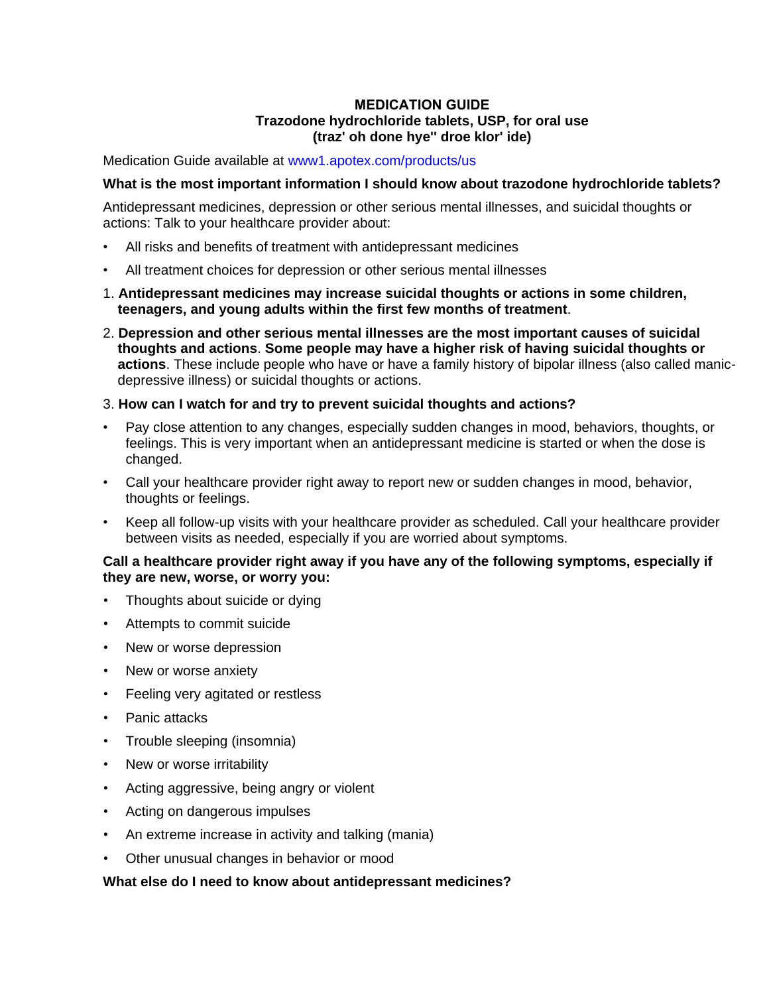# **MEDICATION GUIDE Trazodone hydrochloride tablets, USP, for oral use (traz' oh done hye'' droe klor' ide)**

Medication Guide available at<www1.apotex.com/products/us>

#### **What is the most important information I should know about trazodone hydrochloride tablets?**

Antidepressant medicines, depression or other serious mental illnesses, and suicidal thoughts or actions: Talk to your healthcare provider about:

- All risks and benefits of treatment with antidepressant medicines
- All treatment choices for depression or other serious mental illnesses
- 1. **Antidepressant medicines may increase suicidal thoughts or actions in some children, teenagers, and young adults within the first few months of treatment**.
- 2. **Depression and other serious mental illnesses are the most important causes of suicidal thoughts and actions**. **Some people may have a higher risk of having suicidal thoughts or actions**. These include people who have or have a family history of bipolar illness (also called manicdepressive illness) or suicidal thoughts or actions.

#### 3. **How can I watch for and try to prevent suicidal thoughts and actions?**

- Pay close attention to any changes, especially sudden changes in mood, behaviors, thoughts, or feelings. This is very important when an antidepressant medicine is started or when the dose is changed.
- Call your healthcare provider right away to report new or sudden changes in mood, behavior, thoughts or feelings.
- Keep all follow-up visits with your healthcare provider as scheduled. Call your healthcare provider between visits as needed, especially if you are worried about symptoms.

#### **Call a healthcare provider right away if you have any of the following symptoms, especially if they are new, worse, or worry you:**

- Thoughts about suicide or dying
- Attempts to commit suicide
- New or worse depression
- New or worse anxiety
- Feeling very agitated or restless
- Panic attacks
- Trouble sleeping (insomnia)
- New or worse irritability
- Acting aggressive, being angry or violent
- Acting on dangerous impulses
- An extreme increase in activity and talking (mania)
- Other unusual changes in behavior or mood

#### **What else do I need to know about antidepressant medicines?**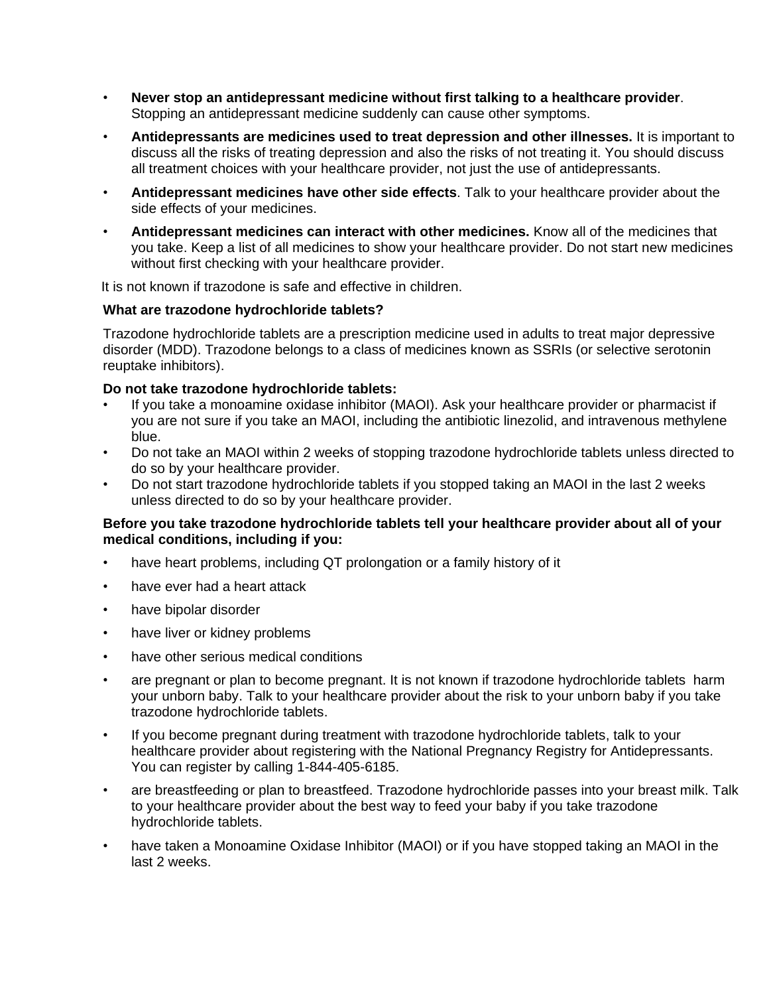- **Never stop an antidepressant medicine without first talking to a healthcare provider**. Stopping an antidepressant medicine suddenly can cause other symptoms.
- **Antidepressants are medicines used to treat depression and other illnesses.** It is important to discuss all the risks of treating depression and also the risks of not treating it. You should discuss all treatment choices with your healthcare provider, not just the use of antidepressants.
- **Antidepressant medicines have other side effects**. Talk to your healthcare provider about the side effects of your medicines.
- **Antidepressant medicines can interact with other medicines.** Know all of the medicines that you take. Keep a list of all medicines to show your healthcare provider. Do not start new medicines without first checking with your healthcare provider.

It is not known if trazodone is safe and effective in children.

## **What are trazodone hydrochloride tablets?**

Trazodone hydrochloride tablets are a prescription medicine used in adults to treat major depressive disorder (MDD). Trazodone belongs to a class of medicines known as SSRIs (or selective serotonin reuptake inhibitors).

# **Do not take trazodone hydrochloride tablets:**

- If you take a monoamine oxidase inhibitor (MAOI). Ask your healthcare provider or pharmacist if you are not sure if you take an MAOI, including the antibiotic linezolid, and intravenous methylene blue.
- Do not take an MAOI within 2 weeks of stopping trazodone hydrochloride tablets unless directed to do so by your healthcare provider.
- Do not start trazodone hydrochloride tablets if you stopped taking an MAOI in the last 2 weeks unless directed to do so by your healthcare provider.

## **Before you take trazodone hydrochloride tablets tell your healthcare provider about all of your medical conditions, including if you:**

- have heart problems, including QT prolongation or a family history of it
- have ever had a heart attack
- have bipolar disorder
- have liver or kidney problems
- have other serious medical conditions
- are pregnant or plan to become pregnant. It is not known if trazodone hydrochloride tablets harm your unborn baby. Talk to your healthcare provider about the risk to your unborn baby if you take trazodone hydrochloride tablets.
- If you become pregnant during treatment with trazodone hydrochloride tablets, talk to your healthcare provider about registering with the National Pregnancy Registry for Antidepressants. You can register by calling 1-844-405-6185.
- are breastfeeding or plan to breastfeed. Trazodone hydrochloride passes into your breast milk. Talk to your healthcare provider about the best way to feed your baby if you take trazodone hydrochloride tablets.
- have taken a Monoamine Oxidase Inhibitor (MAOI) or if you have stopped taking an MAOI in the last 2 weeks.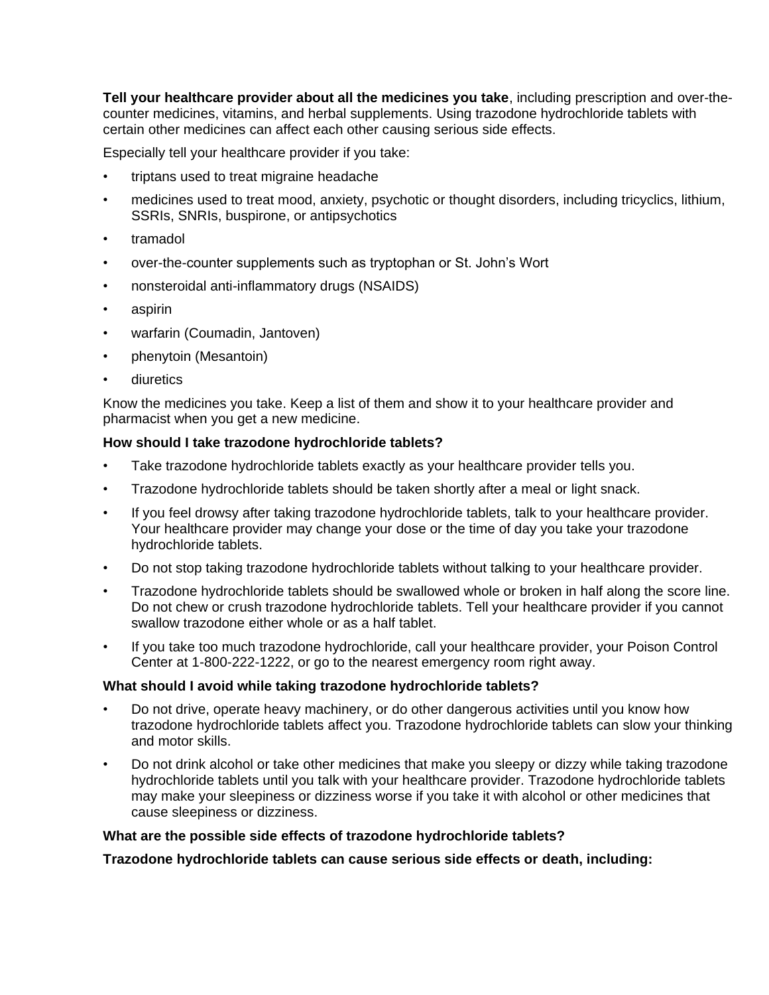**Tell your healthcare provider about all the medicines you take**, including prescription and over-thecounter medicines, vitamins, and herbal supplements. Using trazodone hydrochloride tablets with certain other medicines can affect each other causing serious side effects.

Especially tell your healthcare provider if you take:

- triptans used to treat migraine headache
- medicines used to treat mood, anxiety, psychotic or thought disorders, including tricyclics, lithium, SSRIs, SNRIs, buspirone, or antipsychotics
- tramadol
- over-the-counter supplements such as tryptophan or St. John's Wort
- nonsteroidal anti-inflammatory drugs (NSAIDS)
- aspirin
- warfarin (Coumadin, Jantoven)
- phenytoin (Mesantoin)
- diuretics

Know the medicines you take. Keep a list of them and show it to your healthcare provider and pharmacist when you get a new medicine.

#### **How should I take trazodone hydrochloride tablets?**

- Take trazodone hydrochloride tablets exactly as your healthcare provider tells you.
- Trazodone hydrochloride tablets should be taken shortly after a meal or light snack.
- If you feel drowsy after taking trazodone hydrochloride tablets, talk to your healthcare provider. Your healthcare provider may change your dose or the time of day you take your trazodone hydrochloride tablets.
- Do not stop taking trazodone hydrochloride tablets without talking to your healthcare provider.
- Trazodone hydrochloride tablets should be swallowed whole or broken in half along the score line. Do not chew or crush trazodone hydrochloride tablets. Tell your healthcare provider if you cannot swallow trazodone either whole or as a half tablet.
- If you take too much trazodone hydrochloride, call your healthcare provider, your Poison Control Center at 1-800-222-1222, or go to the nearest emergency room right away.

#### **What should I avoid while taking trazodone hydrochloride tablets?**

- Do not drive, operate heavy machinery, or do other dangerous activities until you know how trazodone hydrochloride tablets affect you. Trazodone hydrochloride tablets can slow your thinking and motor skills.
- Do not drink alcohol or take other medicines that make you sleepy or dizzy while taking trazodone hydrochloride tablets until you talk with your healthcare provider. Trazodone hydrochloride tablets may make your sleepiness or dizziness worse if you take it with alcohol or other medicines that cause sleepiness or dizziness.

#### **What are the possible side effects of trazodone hydrochloride tablets?**

**Trazodone hydrochloride tablets can cause serious side effects or death, including:**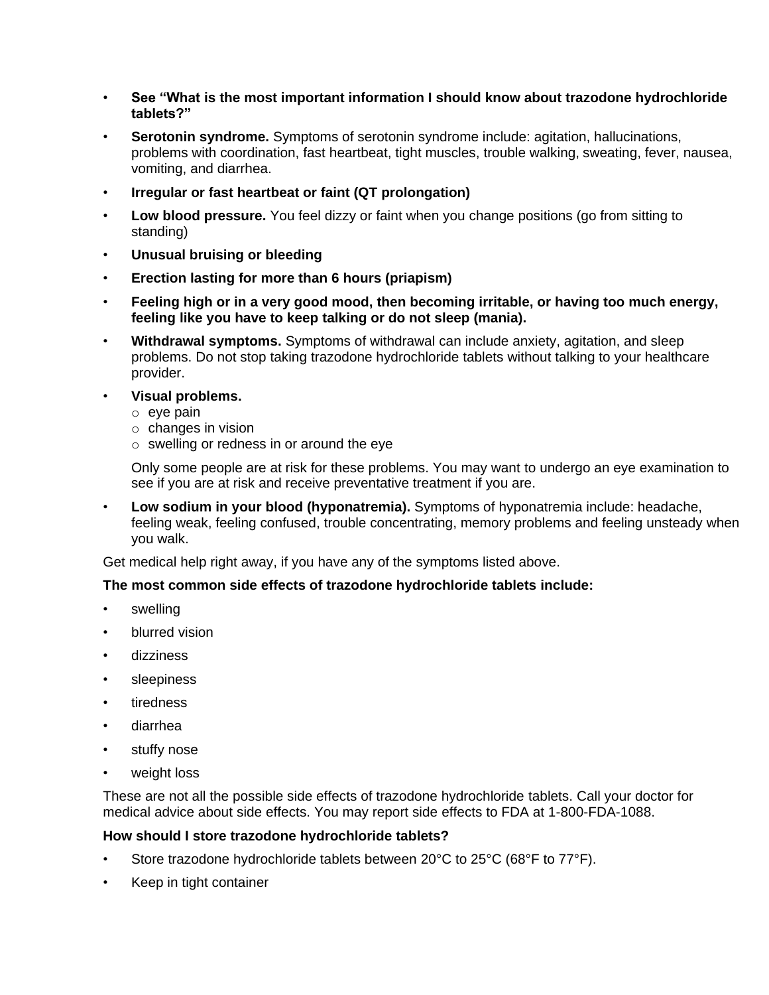- **See "What is the most important information I should know about trazodone hydrochloride tablets?"**
- **Serotonin syndrome.** Symptoms of serotonin syndrome include: agitation, hallucinations, problems with coordination, fast heartbeat, tight muscles, trouble walking, sweating, fever, nausea, vomiting, and diarrhea.
- **Irregular or fast heartbeat or faint (QT prolongation)**
- **Low blood pressure.** You feel dizzy or faint when you change positions (go from sitting to standing)
- **Unusual bruising or bleeding**
- **Erection lasting for more than 6 hours (priapism)**
- **Feeling high or in a very good mood, then becoming irritable, or having too much energy, feeling like you have to keep talking or do not sleep (mania).**
- **Withdrawal symptoms.** Symptoms of withdrawal can include anxiety, agitation, and sleep problems. Do not stop taking trazodone hydrochloride tablets without talking to your healthcare provider.
- **Visual problems.**
	- o eye pain
	- o changes in vision
	- o swelling or redness in or around the eye

Only some people are at risk for these problems. You may want to undergo an eye examination to see if you are at risk and receive preventative treatment if you are.

• **Low sodium in your blood (hyponatremia).** Symptoms of hyponatremia include: headache, feeling weak, feeling confused, trouble concentrating, memory problems and feeling unsteady when you walk.

Get medical help right away, if you have any of the symptoms listed above.

# **The most common side effects of trazodone hydrochloride tablets include:**

- swelling
- blurred vision
- dizziness
- sleepiness
- **tiredness**
- diarrhea
- stuffy nose
- weight loss

These are not all the possible side effects of trazodone hydrochloride tablets. Call your doctor for medical advice about side effects. You may report side effects to FDA at 1-800-FDA-1088.

#### **How should I store trazodone hydrochloride tablets?**

- Store trazodone hydrochloride tablets between 20°C to 25°C (68°F to 77°F).
- Keep in tight container